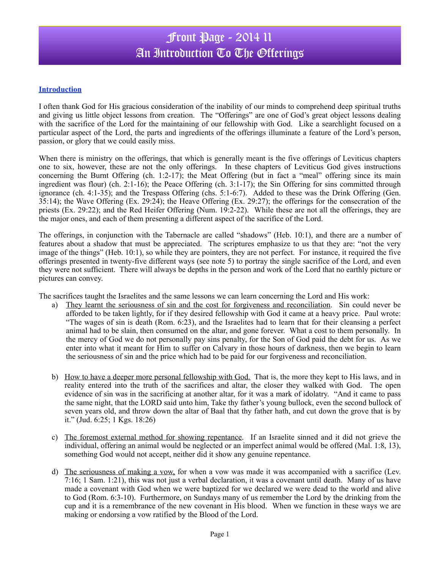# Front Page - 2014 11 An Introduction To The Offerings

### **Introduction**

I often thank God for His gracious consideration of the inability of our minds to comprehend deep spiritual truths and giving us little object lessons from creation. The "Offerings" are one of God's great object lessons dealing with the sacrifice of the Lord for the maintaining of our fellowship with God. Like a searchlight focused on a particular aspect of the Lord, the parts and ingredients of the offerings illuminate a feature of the Lord's person, passion, or glory that we could easily miss.

When there is ministry on the offerings, that which is generally meant is the five offerings of Leviticus chapters one to six, however, these are not the only offerings. In these chapters of Leviticus God gives instructions concerning the Burnt Offering (ch. 1:2-17); the Meat Offering (but in fact a "meal" offering since its main ingredient was flour) (ch. 2:1-16); the Peace Offering (ch. 3:1-17); the Sin Offering for sins committed through ignorance (ch. 4:1-35); and the Trespass Offering (chs. 5:1-6:7). Added to these was the Drink Offering (Gen. 35:14); the Wave Offering (Ex. 29:24); the Heave Offering (Ex. 29:27); the offerings for the consecration of the priests (Ex. 29:22); and the Red Heifer Offering (Num. 19:2-22). While these are not all the offerings, they are the major ones, and each of them presenting a different aspect of the sacrifice of the Lord.

The offerings, in conjunction with the Tabernacle are called "shadows" (Heb. 10:1), and there are a number of features about a shadow that must be appreciated. The scriptures emphasize to us that they are: "not the very image of the things" (Heb. 10:1), so while they are pointers, they are not perfect. For instance, it required the five offerings presented in twenty-five different ways (see note 5) to portray the single sacrifice of the Lord, and even they were not sufficient. There will always be depths in the person and work of the Lord that no earthly picture or pictures can convey.

The sacrifices taught the Israelites and the same lessons we can learn concerning the Lord and His work:

- a) They learnt the seriousness of sin and the cost for forgiveness and reconciliation. Sin could never be afforded to be taken lightly, for if they desired fellowship with God it came at a heavy price. Paul wrote: "The wages of sin is death (Rom. 6:23), and the Israelites had to learn that for their cleansing a perfect animal had to be slain, then consumed on the altar, and gone forever. What a cost to them personally. In the mercy of God we do not personally pay sins penalty, for the Son of God paid the debt for us. As we enter into what it meant for Him to suffer on Calvary in those hours of darkness, then we begin to learn the seriousness of sin and the price which had to be paid for our forgiveness and reconciliation.
- b) How to have a deeper more personal fellowship with God. That is, the more they kept to His laws, and in reality entered into the truth of the sacrifices and altar, the closer they walked with God. The open evidence of sin was in the sacrificing at another altar, for it was a mark of idolatry. "And it came to pass the same night, that the LORD said unto him, Take thy father's young bullock, even the second bullock of seven years old, and throw down the altar of Baal that thy father hath, and cut down the grove that is by it." (Jud. 6:25; 1 Kgs. 18:26)
- c) The foremost external method for showing repentance. If an Israelite sinned and it did not grieve the individual, offering an animal would be neglected or an imperfect animal would be offered (Mal. 1:8, 13), something God would not accept, neither did it show any genuine repentance.
- d) The seriousness of making a vow, for when a vow was made it was accompanied with a sacrifice (Lev. 7:16; 1 Sam. 1:21), this was not just a verbal declaration, it was a covenant until death. Many of us have made a covenant with God when we were baptized for we declared we were dead to the world and alive to God (Rom. 6:3-10). Furthermore, on Sundays many of us remember the Lord by the drinking from the cup and it is a remembrance of the new covenant in His blood. When we function in these ways we are making or endorsing a vow ratified by the Blood of the Lord.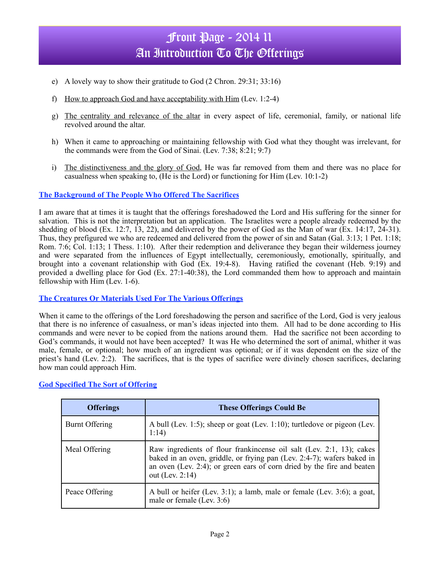# Front Page - 2014 11 An Introduction To The Offerings

- e) A lovely way to show their gratitude to God (2 Chron. 29:31; 33:16)
- f) How to approach God and have acceptability with Him (Lev. 1:2-4)
- g) The centrality and relevance of the altar in every aspect of life, ceremonial, family, or national life revolved around the altar.
- h) When it came to approaching or maintaining fellowship with God what they thought was irrelevant, for the commands were from the God of Sinai. (Lev. 7:38; 8:21; 9:7)
- i) The distinctiveness and the glory of God, He was far removed from them and there was no place for casualness when speaking to, (He is the Lord) or functioning for Him (Lev. 10:1-2)

#### **The Background of The People Who Offered The Sacrifices**

I am aware that at times it is taught that the offerings foreshadowed the Lord and His suffering for the sinner for salvation. This is not the interpretation but an application. The Israelites were a people already redeemed by the shedding of blood (Ex. 12:7, 13, 22), and delivered by the power of God as the Man of war (Ex. 14:17, 24-31). Thus, they prefigured we who are redeemed and delivered from the power of sin and Satan (Gal. 3:13; 1 Pet. 1:18; Rom. 7:6; Col. 1:13; 1 Thess. 1:10). After their redemption and deliverance they began their wilderness journey and were separated from the influences of Egypt intellectually, ceremoniously, emotionally, spiritually, and brought into a covenant relationship with God (Ex. 19:4-8). Having ratified the covenant (Heb. 9:19) and provided a dwelling place for God (Ex. 27:1-40:38), the Lord commanded them how to approach and maintain fellowship with Him (Lev. 1-6).

#### **The Creatures Or Materials Used For The Various Offerings**

When it came to the offerings of the Lord foreshadowing the person and sacrifice of the Lord, God is very jealous that there is no inference of casualness, or man's ideas injected into them. All had to be done according to His commands and were never to be copied from the nations around them. Had the sacrifice not been according to God's commands, it would not have been accepted? It was He who determined the sort of animal, whither it was male, female, or optional; how much of an ingredient was optional; or if it was dependent on the size of the priest's hand (Lev. 2:2). The sacrifices, that is the types of sacrifice were divinely chosen sacrifices, declaring how man could approach Him.

| <b>Offerings</b> | <b>These Offerings Could Be</b>                                                                                                                                                                                                             |
|------------------|---------------------------------------------------------------------------------------------------------------------------------------------------------------------------------------------------------------------------------------------|
| Burnt Offering   | A bull (Lev. 1:5); sheep or goat (Lev. 1:10); turtledove or pigeon (Lev.<br>1:14)                                                                                                                                                           |
| Meal Offering    | Raw ingredients of flour frankineense oil salt (Lev. 2:1, 13); cakes<br>baked in an oven, griddle, or frying pan (Lev. 2:4-7); wafers baked in<br>an oven (Lev. 2:4); or green ears of corn dried by the fire and beaten<br>out (Lev. 2:14) |
| Peace Offering   | A bull or heifer (Lev. 3:1); a lamb, male or female (Lev. 3:6); a goat,<br>male or female (Lev. $3:6$ )                                                                                                                                     |

### **God Specified The Sort of Offering**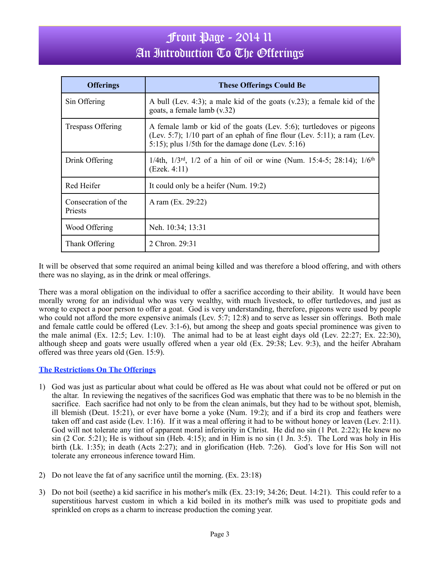# Front Page - 2014 11 An Introduction To The Offerings

| <b>Offerings</b>                      | <b>These Offerings Could Be</b>                                                                                                                                                                            |
|---------------------------------------|------------------------------------------------------------------------------------------------------------------------------------------------------------------------------------------------------------|
| Sin Offering                          | A bull (Lev. 4:3); a male kid of the goats $(v.23)$ ; a female kid of the<br>goats, a female lamb (v.32)                                                                                                   |
| Trespass Offering                     | A female lamb or kid of the goats (Lev. 5:6); turtledoves or pigeons<br>(Lev. 5:7); $1/10$ part of an ephah of fine flour (Lev. 5:11); a ram (Lev.<br>5:15); plus $1/5$ th for the damage done (Lev. 5:16) |
| Drink Offering                        | 1/4th, $1/3$ <sup>rd</sup> , $1/2$ of a hin of oil or wine (Num. 15:4-5; 28:14); $1/6$ <sup>th</sup><br>(Ezek. 4:11)                                                                                       |
| Red Heifer                            | It could only be a heifer (Num. 19:2)                                                                                                                                                                      |
| Consecration of the<br><b>Priests</b> | A ram (Ex. 29:22)                                                                                                                                                                                          |
| Wood Offering                         | Neh. 10:34; 13:31                                                                                                                                                                                          |
| Thank Offering                        | 2 Chron. 29:31                                                                                                                                                                                             |

It will be observed that some required an animal being killed and was therefore a blood offering, and with others there was no slaying, as in the drink or meal offerings.

There was a moral obligation on the individual to offer a sacrifice according to their ability. It would have been morally wrong for an individual who was very wealthy, with much livestock, to offer turtledoves, and just as wrong to expect a poor person to offer a goat. God is very understanding, therefore, pigeons were used by people who could not afford the more expensive animals (Lev. 5:7; 12:8) and to serve as lesser sin offerings. Both male and female cattle could be offered (Lev. 3:1-6), but among the sheep and goats special prominence was given to the male animal (Ex. 12:5; Lev. 1:10). The animal had to be at least eight days old (Lev. 22:27; Ex. 22:30), although sheep and goats were usually offered when a year old (Ex. 29:38; Lev. 9:3), and the heifer Abraham offered was three years old (Gen. 15:9).

### **The Restrictions On The Offerings**

- 1) God was just as particular about what could be offered as He was about what could not be offered or put on the altar. In reviewing the negatives of the sacrifices God was emphatic that there was to be no blemish in the sacrifice. Each sacrifice had not only to be from the clean animals, but they had to be without spot, blemish, ill blemish (Deut. 15:21), or ever have borne a yoke (Num. 19:2); and if a bird its crop and feathers were taken off and cast aside (Lev. 1:16). If it was a meal offering it had to be without honey or leaven (Lev. 2:11). God will not tolerate any tint of apparent moral inferiority in Christ. He did no sin (1 Pet. 2:22); He knew no sin (2 Cor. 5:21); He is without sin (Heb. 4:15); and in Him is no sin (1 Jn. 3:5). The Lord was holy in His birth (Lk. 1:35); in death (Acts 2:27); and in glorification (Heb. 7:26). God's love for His Son will not tolerate any erroneous inference toward Him.
- 2) Do not leave the fat of any sacrifice until the morning. (Ex. 23:18)
- 3) Do not boil (seethe) a kid sacrifice in his mother's milk (Ex. 23:19; 34:26; Deut. 14:21). This could refer to a superstitious harvest custom in which a kid boiled in its mother's milk was used to propitiate gods and sprinkled on crops as a charm to increase production the coming year.